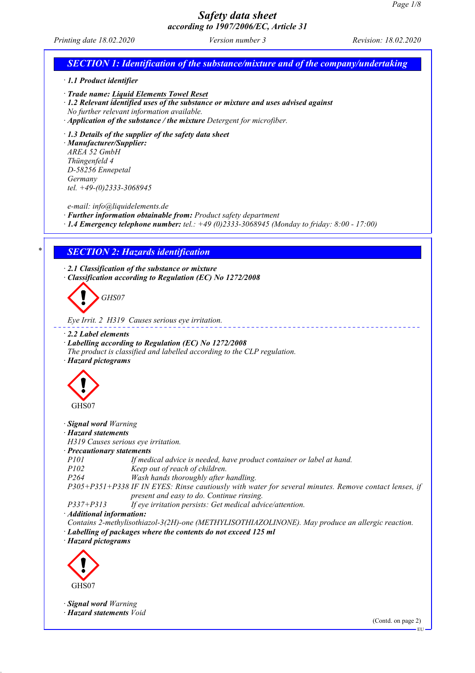EU

## *Safety data sheet according to 1907/2006/EC, Article 31*

*Printing date 18.02.2020 Version number 3 Revision: 18.02.2020*

# *SECTION 1: Identification of the substance/mixture and of the company/undertaking · 1.1 Product identifier · Trade name: Liquid Elements Towel Reset · 1.2 Relevant identified uses of the substance or mixture and uses advised against No further relevant information available. · Application of the substance / the mixture Detergent for microfiber. · 1.3 Details of the supplier of the safety data sheet · Manufacturer/Supplier: AREA 52 GmbH Thüngenfeld 4 D-58256 Ennepetal Germany tel. +49-(0)2333-3068945 e-mail: info@liquidelements.de · Further information obtainable from: Product safety department · 1.4 Emergency telephone number: tel.: +49 (0)2333-3068945 (Monday to friday: 8:00 - 17:00) \* SECTION 2: Hazards identification · 2.1 Classification of the substance or mixture · Classification according to Regulation (EC) No 1272/2008 GHS07 Eye Irrit. 2 H319 Causes serious eye irritation. · 2.2 Label elements · Labelling according to Regulation (EC) No 1272/2008 The product is classified and labelled according to the CLP regulation. · Hazard pictograms* GHS07 *· Signal word Warning · Hazard statements H319 Causes serious eye irritation. · Precautionary statements P101 If medical advice is needed, have product container or label at hand. P102 Keep out of reach of children. P264 Wash hands thoroughly after handling. P305+P351+P338 IF IN EYES: Rinse cautiously with water for several minutes. Remove contact lenses, if present and easy to do. Continue rinsing. P337+P313 If eye irritation persists: Get medical advice/attention. · Additional information: Contains 2-methylisothiazol-3(2H)-one (METHYLISOTHIAZOLINONE). May produce an allergic reaction. · Labelling of packages where the contents do not exceed 125 ml · Hazard pictograms* GHS07 *· Signal word Warning · Hazard statements Void* (Contd. on page 2)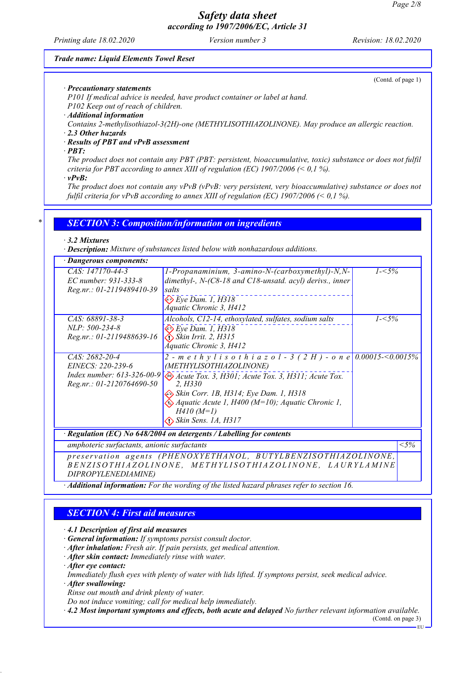*Printing date 18.02.2020 Version number 3 Revision: 18.02.2020*

#### *Trade name: Liquid Elements Towel Reset*

(Contd. of page 1)

*· Precautionary statements P101 If medical advice is needed, have product container or label at hand.*

*P102 Keep out of reach of children.*

*· Additional information*

*Contains 2-methylisothiazol-3(2H)-one (METHYLISOTHIAZOLINONE). May produce an allergic reaction.*

*· 2.3 Other hazards*

#### *· Results of PBT and vPvB assessment*

*· PBT:*

*The product does not contain any PBT (PBT: persistent, bioaccumulative, toxic) substance or does not fulfil criteria for PBT according to annex XIII of regulation (EC) 1907/2006 (< 0,1 %).*

*· vPvB:*

*The product does not contain any vPvB (vPvB: very persistent, very bioaccumulative) substance or does not fulfil criteria for vPvB according to annex XIII of regulation (EC) 1907/2006 (< 0,1 %).*

### *\* SECTION 3: Composition/information on ingredients*

#### *· 3.2 Mixtures*

*· Description: Mixture of substances listed below with nonhazardous additions.*

| · Dangerous components:                                                                                                   |                                                                                                                                                                                                                                                                                                                                                                                 |           |  |  |
|---------------------------------------------------------------------------------------------------------------------------|---------------------------------------------------------------------------------------------------------------------------------------------------------------------------------------------------------------------------------------------------------------------------------------------------------------------------------------------------------------------------------|-----------|--|--|
| CAS: 147170-44-3<br>EC number: 931-333-8<br>Reg.nr.: 01-2119489410-39                                                     | 1-Propanaminium, 3-amino-N-(carboxymethyl)-N,N-<br>dimethyl-, $N-(C8-18$ and $C18$ -unsatd. acyl) derivs., inner<br>salts                                                                                                                                                                                                                                                       | $1 - 5\%$ |  |  |
|                                                                                                                           | $\otimes$ Eye Dam. 1, H318<br>Áquatic Chronic 3, H412                                                                                                                                                                                                                                                                                                                           |           |  |  |
| CAS: 68891-38-3<br>$NLP: 500-234-8$<br>Reg.nr.: 01-2119488639-16                                                          | Alcohols, C12-14, ethoxylated, sulfates, sodium salts<br>$\Leftrightarrow$ Eye Dam. 1, H318<br>$\bigotimes$ Skin Irrit. 2, H315<br>Áquatic Chronic 3, H412                                                                                                                                                                                                                      | $1 - 5\%$ |  |  |
| CAS: 2682-20-4<br>EINECS: 220-239-6<br>Reg.nr.: 01-2120764690-50                                                          | 2 - m e t h y l i s o t h i a z o l - 3 (2 H) - o n e 0.00015-<0.0015%<br>(METHYLISOTHIAZOLINONE)<br>Index number: 613-326-00-9 $\otimes$ Acute Tox. 3, H301; Acute Tox. 3, H311; Acute Tox.<br>2. H330<br>Skin Corr. 1B, H314; Eye Dam. 1, H318<br>$\langle \psi \rangle$ Aquatic Acute 1, H400 (M=10); Aquatic Chronic 1,<br>$H410 (M=1)$<br>$\bigotimes$ Skin Sens. 1A, H317 |           |  |  |
| Regulation (EC) No 648/2004 on detergents / Labelling for contents                                                        |                                                                                                                                                                                                                                                                                                                                                                                 |           |  |  |
| amphoteric surfactants, anionic surfactants                                                                               |                                                                                                                                                                                                                                                                                                                                                                                 |           |  |  |
| preservation agents (PHENOXYETHANOL, BUTYLBENZISOTHIAZOLINONE,<br>BENZISOTHIAZOLINONE, METHYLISOTHIAZOLINONE, LAURYLAMINE |                                                                                                                                                                                                                                                                                                                                                                                 |           |  |  |

*DIPROPYLENEDIAMINE)*

*· Additional information: For the wording of the listed hazard phrases refer to section 16.*

## *SECTION 4: First aid measures*

*· 4.1 Description of first aid measures*

*· General information: If symptoms persist consult doctor.*

*· After inhalation: Fresh air. If pain persists, get medical attention.*

*· After skin contact: Immediately rinse with water.*

*· After eye contact:*

*Immediately flush eyes with plenty of water with lids lifted. If symptons persist, seek medical advice.*

*· After swallowing:*

*Rinse out mouth and drink plenty of water.*

*Do not induce vomiting; call for medical help immediately.*

*· 4.2 Most important symptoms and effects, both acute and delayed No further relevant information available.*

(Contd. on page 3) EU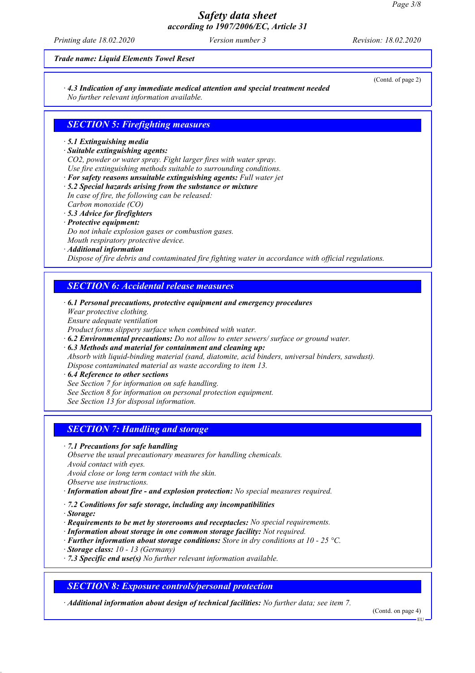*Printing date 18.02.2020 Version number 3 Revision: 18.02.2020*

(Contd. of page 2)

#### *Trade name: Liquid Elements Towel Reset*

*· 4.3 Indication of any immediate medical attention and special treatment needed No further relevant information available.*

### *SECTION 5: Firefighting measures*

### *· 5.1 Extinguishing media*

*· Suitable extinguishing agents:*

*CO2, powder or water spray. Fight larger fires with water spray.*

- *Use fire extinguishing methods suitable to surrounding conditions.*
- *· For safety reasons unsuitable extinguishing agents: Full water jet*
- *· 5.2 Special hazards arising from the substance or mixture In case of fire, the following can be released:*
- *Carbon monoxide (CO)*
- *· 5.3 Advice for firefighters*
- *· Protective equipment:*
- *Do not inhale explosion gases or combustion gases.*
- *Mouth respiratory protective device.*
- *· Additional information*

*Dispose of fire debris and contaminated fire fighting water in accordance with official regulations.*

## *SECTION 6: Accidental release measures*

- *· 6.1 Personal precautions, protective equipment and emergency procedures*
- *Wear protective clothing.*
- *Ensure adequate ventilation*
- *Product forms slippery surface when combined with water.*
- *· 6.2 Environmental precautions: Do not allow to enter sewers/ surface or ground water.*
- *· 6.3 Methods and material for containment and cleaning up: Absorb with liquid-binding material (sand, diatomite, acid binders, universal binders, sawdust). Dispose contaminated material as waste according to item 13.*

#### *· 6.4 Reference to other sections*

- *See Section 7 for information on safe handling.*
- *See Section 8 for information on personal protection equipment.*
- *See Section 13 for disposal information.*

## *SECTION 7: Handling and storage*

- *· 7.1 Precautions for safe handling*
- *Observe the usual precautionary measures for handling chemicals.*
- *Avoid contact with eyes.*
- *Avoid close or long term contact with the skin.*
- *Observe use instructions.*
- *· Information about fire and explosion protection: No special measures required.*
- *· 7.2 Conditions for safe storage, including any incompatibilities*
- *· Storage:*
- *· Requirements to be met by storerooms and receptacles: No special requirements.*
- *· Information about storage in one common storage facility: Not required.*
- *· Further information about storage conditions: Store in dry conditions at 10 25 °C.*
- *· Storage class: 10 13 (Germany)*
- *· 7.3 Specific end use(s) No further relevant information available.*

## *SECTION 8: Exposure controls/personal protection*

*· Additional information about design of technical facilities: No further data; see item 7.*

(Contd. on page 4)

EU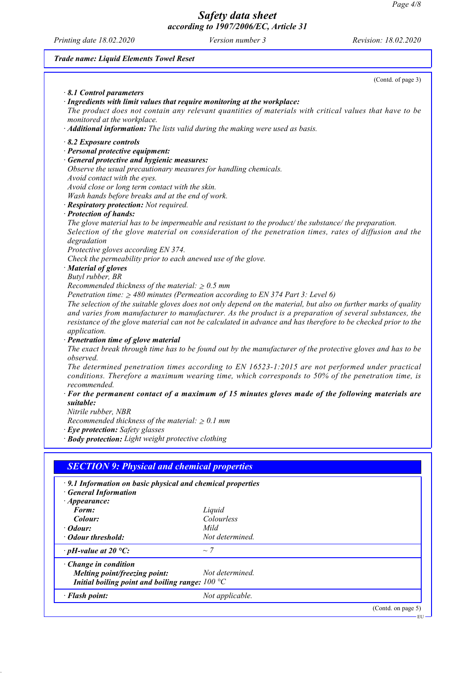*Printing date 18.02.2020 Version number 3 Revision: 18.02.2020*

*Trade name: Liquid Elements Towel Reset*

|                                                                                 | (Contd. of page 3)                                                                                                                                                                                            |
|---------------------------------------------------------------------------------|---------------------------------------------------------------------------------------------------------------------------------------------------------------------------------------------------------------|
| 8.1 Control parameters                                                          |                                                                                                                                                                                                               |
| · Ingredients with limit values that require monitoring at the workplace:       |                                                                                                                                                                                                               |
|                                                                                 | The product does not contain any relevant quantities of materials with critical values that have to be                                                                                                        |
| monitored at the workplace.                                                     |                                                                                                                                                                                                               |
| · Additional information: The lists valid during the making were used as basis. |                                                                                                                                                                                                               |
| $\cdot$ 8.2 Exposure controls                                                   |                                                                                                                                                                                                               |
| · Personal protective equipment:                                                |                                                                                                                                                                                                               |
| · General protective and hygienic measures:                                     |                                                                                                                                                                                                               |
| Observe the usual precautionary measures for handling chemicals.                |                                                                                                                                                                                                               |
| Avoid contact with the eyes.                                                    |                                                                                                                                                                                                               |
| Avoid close or long term contact with the skin.                                 |                                                                                                                                                                                                               |
| Wash hands before breaks and at the end of work.                                |                                                                                                                                                                                                               |
| · Respiratory protection: Not required.                                         |                                                                                                                                                                                                               |
| · Protection of hands:                                                          |                                                                                                                                                                                                               |
|                                                                                 | The glove material has to be impermeable and resistant to the product/the substance/the preparation.<br>Selection of the glove material on consideration of the penetration times, rates of diffusion and the |
| degradation                                                                     |                                                                                                                                                                                                               |
| Protective gloves according EN 374.                                             |                                                                                                                                                                                                               |
| Check the permeability prior to each anewed use of the glove.                   |                                                                                                                                                                                                               |
| · Material of gloves                                                            |                                                                                                                                                                                                               |
| Butyl rubber, BR                                                                |                                                                                                                                                                                                               |
| Recommended thickness of the material: $\geq 0.5$ mm                            |                                                                                                                                                                                                               |
|                                                                                 | Penetration time: $\geq 480$ minutes (Permeation according to EN 374 Part 3: Level 6)                                                                                                                         |
|                                                                                 | The selection of the suitable gloves does not only depend on the material, but also on further marks of quality                                                                                               |
|                                                                                 | and varies from manufacturer to manufacturer. As the product is a preparation of several substances, the                                                                                                      |
|                                                                                 | resistance of the glove material can not be calculated in advance and has therefore to be checked prior to the                                                                                                |
| application.                                                                    |                                                                                                                                                                                                               |
| · Penetration time of glove material                                            |                                                                                                                                                                                                               |
|                                                                                 | The exact break through time has to be found out by the manufacturer of the protective gloves and has to be                                                                                                   |
| observed.                                                                       |                                                                                                                                                                                                               |
|                                                                                 | The determined penetration times according to EN 16523-1:2015 are not performed under practical<br>conditions. Therefore a maximum wearing time, which corresponds to 50% of the penetration time, is         |
| recommended.                                                                    |                                                                                                                                                                                                               |
|                                                                                 | $\cdot$ For the permanent contact of a maximum of 15 minutes gloves made of the following materials are                                                                                                       |
| suitable:                                                                       |                                                                                                                                                                                                               |
| Nitrile rubber, NBR                                                             |                                                                                                                                                                                                               |
| Recommended thickness of the material: $\geq 0.1$ mm                            |                                                                                                                                                                                                               |
| · Eye protection: Safety glasses                                                |                                                                                                                                                                                                               |
| · Body protection: Light weight protective clothing                             |                                                                                                                                                                                                               |
|                                                                                 |                                                                                                                                                                                                               |
|                                                                                 |                                                                                                                                                                                                               |
| <b>SECTION 9: Physical and chemical properties</b>                              |                                                                                                                                                                                                               |
| · 9.1 Information on basic physical and chemical properties                     |                                                                                                                                                                                                               |
| <b>General Information</b>                                                      |                                                                                                                                                                                                               |
| $\cdot$ Appearance:                                                             |                                                                                                                                                                                                               |
| Form:                                                                           | Liquid                                                                                                                                                                                                        |
| Colour:                                                                         | Colourless                                                                                                                                                                                                    |
| $\cdot$ Odour:                                                                  | Mild                                                                                                                                                                                                          |
| · Odour threshold:                                                              | Not determined.                                                                                                                                                                                               |
| $\cdot$ pH-value at 20 °C:                                                      | $\sim$ 7                                                                                                                                                                                                      |
| · Change in condition                                                           |                                                                                                                                                                                                               |
| Melting point/freezing point:                                                   | Not determined.                                                                                                                                                                                               |
| Initial boiling point and boiling range: $100 °C$                               |                                                                                                                                                                                                               |
|                                                                                 |                                                                                                                                                                                                               |
| · Flash point:                                                                  | Not applicable.                                                                                                                                                                                               |
|                                                                                 |                                                                                                                                                                                                               |

(Contd. on page 5) EU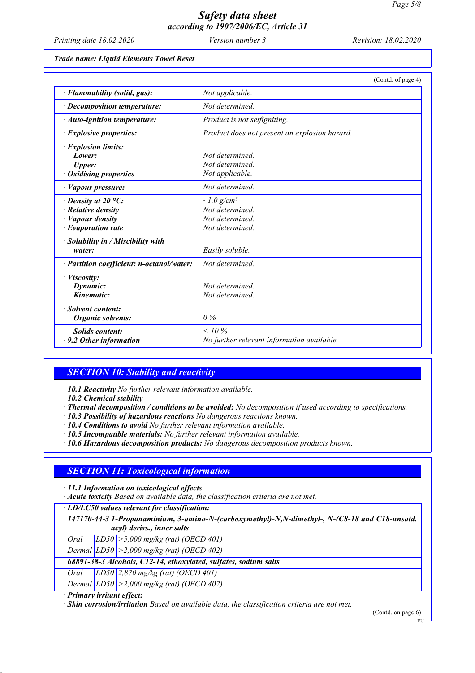*Printing date 18.02.2020 Version number 3 Revision: 18.02.2020*

*Trade name: Liquid Elements Towel Reset*

|                                           | (Contd. of page 4)                            |
|-------------------------------------------|-----------------------------------------------|
| · Flammability (solid, gas):              | Not applicable.                               |
| $\cdot$ Decomposition temperature:        | Not determined.                               |
| · Auto-ignition temperature:              | Product is not selfigniting.                  |
| $\cdot$ Explosive properties:             | Product does not present an explosion hazard. |
| <i>Explosion limits:</i>                  |                                               |
| Lower:                                    | Not determined.                               |
| <b>Upper:</b>                             | Not determined.                               |
| <b>Oxidising properties</b>               | Not applicable.                               |
| · Vapour pressure:                        | Not determined.                               |
| $\cdot$ Density at 20 °C:                 | $\sim l.0$ g/cm <sup>3</sup>                  |
| $\cdot$ Relative density                  | Not determined.                               |
| · Vapour density                          | Not determined.                               |
| $\cdot$ Evaporation rate                  | Not determined.                               |
| · Solubility in / Miscibility with        |                                               |
| water:                                    | Easily soluble.                               |
| · Partition coefficient: n-octanol/water: | Not determined.                               |
| · Viscosity:                              |                                               |
| Dynamic:                                  | Not determined.                               |
| Kinematic:                                | Not determined.                               |
| · Solvent content:                        |                                               |
| Organic solvents:                         | 0%                                            |
| <b>Solids content:</b>                    | $< 10\%$                                      |
| $\cdot$ 9.2 Other information             | No further relevant information available.    |

## *SECTION 10: Stability and reactivity*

*· 10.1 Reactivity No further relevant information available.*

*· 10.2 Chemical stability*

*· Thermal decomposition / conditions to be avoided: No decomposition if used according to specifications.*

*· 10.3 Possibility of hazardous reactions No dangerous reactions known.*

*· 10.4 Conditions to avoid No further relevant information available.*

*· 10.5 Incompatible materials: No further relevant information available.*

*· 10.6 Hazardous decomposition products: No dangerous decomposition products known.*

## *SECTION 11: Toxicological information*

*· 11.1 Information on toxicological effects*

*· Acute toxicity Based on available data, the classification criteria are not met.*

*· LD/LC50 values relevant for classification:*

*147170-44-3 1-Propanaminium, 3-amino-N-(carboxymethyl)-N,N-dimethyl-, N-(C8-18 and C18-unsatd. acyl) derivs., inner salts*

*Oral LD50 >5,000 mg/kg (rat) (OECD 401)*

*Dermal LD50 >2,000 mg/kg (rat) (OECD 402)*

*68891-38-3 Alcohols, C12-14, ethoxylated, sulfates, sodium salts*

*Oral LD50 2,870 mg/kg (rat) (OECD 401)*

*Dermal LD50 >2,000 mg/kg (rat) (OECD 402)*

*· Primary irritant effect:*

*· Skin corrosion/irritation Based on available data, the classification criteria are not met.*

(Contd. on page 6)

EU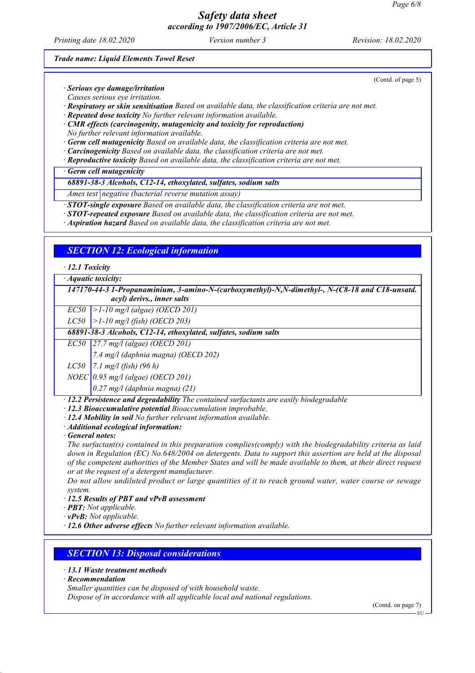*Printing date 18.02.2020 Version number 3 Revision: 18.02.2020*

(Contd. of page 5)

#### *Trade name: Liquid Elements Towel Reset*

*· Serious eye damage/irritation*

*Causes serious eye irritation.*

*· Respiratory or skin sensitisation Based on available data, the classification criteria are not met.*

*· Repeated dose toxicity No further relevant information available.*

*· CMR effects (carcinogenity, mutagenicity and toxicity for reproduction) No further relevant information available.*

*· Germ cell mutagenicity Based on available data, the classification criteria are not met.*

*· Carcinogenicity Based on available data, the classification criteria are not met.*

*· Reproductive toxicity Based on available data, the classification criteria are not met.*

*· Germ cell mutagenicity*

### *68891-38-3 Alcohols, C12-14, ethoxylated, sulfates, sodium salts*

*Ames test negative (bacterial reverse mutation assay)*

*· STOT-single exposure Based on available data, the classification criteria are not met.*

*· STOT-repeated exposure Based on available data, the classification criteria are not met.*

*· Aspiration hazard Based on available data, the classification criteria are not met.*

### *SECTION 12: Ecological information*

*· 12.1 Toxicity*

*· Aquatic toxicity:*

*147170-44-3 1-Propanaminium, 3-amino-N-(carboxymethyl)-N,N-dimethyl-, N-(C8-18 and C18-unsatd. acyl) derivs., inner salts*

*EC50 >1-10 mg/l (algae) (OECD 201)*

*LC50 >1-10 mg/l (fish) (OECD 203)*

*68891-38-3 Alcohols, C12-14, ethoxylated, sulfates, sodium salts*

*EC50 27.7 mg/l (algae) (OECD 201)*

*7.4 mg/l (daphnia magna) (OECD 202)*

*LC50 7.1 mg/l (fish) (96 h)*

*NOEC 0.95 mg/l (algae) (OECD 201)*

*0.27 mg/l (daphnia magna) (21)*

*· 12.2 Persistence and degradability The contained surfactants are easily biodegradable*

*· 12.3 Bioaccumulative potential Bioaccumulation improbable.*

*· 12.4 Mobility in soil No further relevant information available.*

*· Additional ecological information:*

*· General notes:*

*The surfactant(s) contained in this preparation complies(comply) with the biodegradability criteria as laid down in Regulation (EC) No.648/2004 on detergents. Data to support this assertion are held at the disposal of the competent authorities of the Member States and will be made available to them, at their direct request or at the request of a detergent manufacturer.*

*Do not allow undiluted product or large quantities of it to reach ground water, water course or sewage system.*

*· 12.5 Results of PBT and vPvB assessment*

*· PBT: Not applicable.*

*· vPvB: Not applicable.*

*· 12.6 Other adverse effects No further relevant information available.*

*SECTION 13: Disposal considerations*

*· 13.1 Waste treatment methods*

*· Recommendation*

*Smaller quantities can be disposed of with household waste.*

*Dispose of in accordance with all applicable local and national regulations.*

(Contd. on page 7)

EU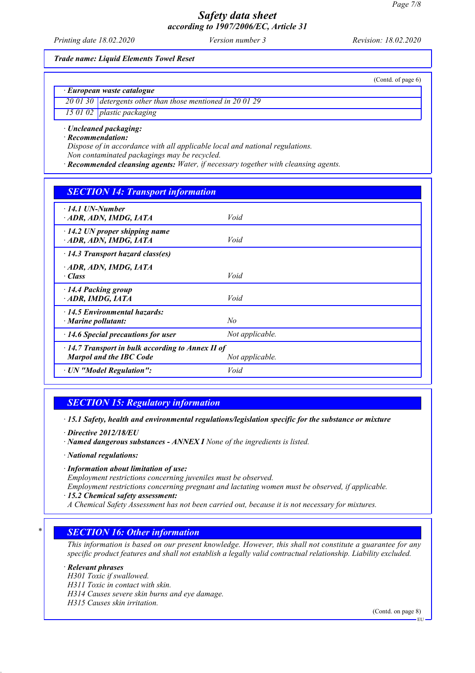*Printing date 18.02.2020 Version number 3 Revision: 18.02.2020*

(Contd. of page 6)

*Trade name: Liquid Elements Towel Reset*

*· European waste catalogue*

*20 01 30 detergents other than those mentioned in 20 01 29*

*15 01 02 plastic packaging*

## *· Uncleaned packaging:*

*· Recommendation:*

*Dispose of in accordance with all applicable local and national regulations.*

*Non contaminated packagings may be recycled.*

*· Recommended cleansing agents: Water, if necessary together with cleansing agents.*

## *SECTION 14: Transport information*

| $\cdot$ 14.1 UN-Number<br>ADR, ADN, IMDG, IATA                                                               | Void            |  |
|--------------------------------------------------------------------------------------------------------------|-----------------|--|
| $\cdot$ 14.2 UN proper shipping name<br>ADR, ADN, IMDG, IATA                                                 | Void            |  |
| $\cdot$ 14.3 Transport hazard class(es)                                                                      |                 |  |
| ADR, ADN, IMDG, IATA<br>$\cdot$ Class                                                                        | Void            |  |
| 14.4 Packing group<br>$\cdot$ ADR, IMDG, IATA                                                                | Void            |  |
| 14.5 Environmental hazards:<br>$\cdot$ Marine pollutant:                                                     | No              |  |
| $\cdot$ 14.6 Special precautions for user                                                                    | Not applicable. |  |
| $\cdot$ 14.7 Transport in bulk according to Annex II of<br><b>Marpol and the IBC Code</b><br>Not applicable. |                 |  |
| · UN "Model Regulation":                                                                                     | Void            |  |

## *SECTION 15: Regulatory information*

*· 15.1 Safety, health and environmental regulations/legislation specific for the substance or mixture*

- *· Directive 2012/18/EU*
- *· Named dangerous substances ANNEX I None of the ingredients is listed.*
- *· National regulations:*
- *· Information about limitation of use:*

*Employment restrictions concerning juveniles must be observed.*

*Employment restrictions concerning pregnant and lactating women must be observed, if applicable.*

- *· 15.2 Chemical safety assessment:*
- *A Chemical Safety Assessment has not been carried out, because it is not necessary for mixtures.*

## *\* SECTION 16: Other information*

*This information is based on our present knowledge. However, this shall not constitute a guarantee for any specific product features and shall not establish a legally valid contractual relationship. Liability excluded.*

### *· Relevant phrases*

*H301 Toxic if swallowed. H311 Toxic in contact with skin. H314 Causes severe skin burns and eye damage. H315 Causes skin irritation.*

(Contd. on page 8)

EU